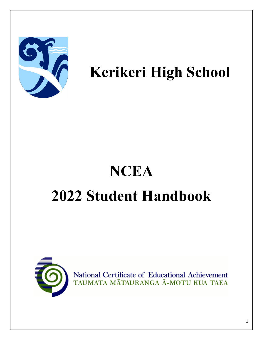

## **Kerikeri High School**

# **NCEA 2022 Student Handbook**



National Certificate of Educational Achievement TAUMATA MĀTAURANGA Ā-MOTU KUA TAEA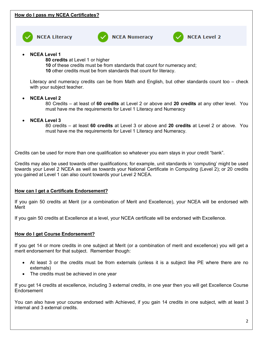



**NCEA Numeracy** 



### **NCEA Level 2**

• **NCEA Level 1** 

**80 credits** at Level 1 or higher

**10** of these credits must be from standards that count for numeracy and;

**10** other credits must be from standards that count for literacy.

Literacy and numeracy credits can be from Math and English, but other standards count too – check with your subject teacher.

#### • **NCEA Level 2**

80 Credits – at least of **60 credits** at Level 2 or above and **20 credits** at any other level. You must have me the requirements for Level 1 Literacy and Numeracy

• **NCEA Level 3**

80 credits – at least **60 credits** at Level 3 or above and **20 credits** at Level 2 or above. You must have me the requirements for Level 1 Literacy and Numeracy.

Credits can be used for more than one qualification so whatever you earn stays in your credit "bank".

Credits may also be used towards other qualifications; for example, unit standards in 'computing' might be used towards your Level 2 NCEA as well as towards your National Certificate in Computing (Level 2); or 20 credits you gained at Level 1 can also count towards your Level 2 NCEA.

#### **How can I get a Certificate Endorsement?**

If you gain 50 credits at Merit (or a combination of Merit and Excellence), your NCEA will be endorsed with Merit

If you gain 50 credits at Excellence at a level, your NCEA certificate will be endorsed with Excellence.

#### **How do I get Course Endorsement?**

If you get 14 or more credits in one subject at Merit (or a combination of merit and excellence) you will get a merit endorsement for that subject. Remember though:

- At least 3 or the credits must be from externals (unless it is a subject like PE where there are no externals)
- The credits must be achieved in one year

If you get 14 credits at excellence, including 3 external credits, in one year then you will get Excellence Course **Endorsement** 

You can also have your course endorsed with Achieved, if you gain 14 credits in one subject, with at least 3 internal and 3 external credits.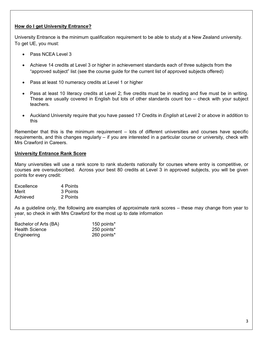#### **How do I get University Entrance?**

University Entrance is the minimum qualification requirement to be able to study at a New Zealand university. To get UE, you must:

- Pass NCEA Level 3
- Achieve 14 credits at Level 3 or higher in achievement standards each of three subjects from the "approved subject" list (see the course guide for the current list of approved subjects offered)
- Pass at least 10 numeracy credits at Level 1 or higher
- Pass at least 10 literacy credits at Level 2; five credits must be in reading and five must be in writing. These are usually covered in English but lots of other standards count too – check with your subject teachers.
- Auckland University require that you have passed 17 Credits in *English* at Level 2 or above in addition to this

Remember that this is the minimum requirement – lots of different universities and courses have specific requirements, and this changes regularly – if you are interested in a particular course or university, check with Mrs Crawford in Careers.

#### **University Entrance Rank Score**

Many universities will use a rank score to rank students nationally for courses where entry is competitive, or courses are oversubscribed. Across your best 80 credits at Level 3 in approved subjects, you will be given points for every credit:

| Excellence | 4 Points |
|------------|----------|
| Merit      | 3 Points |
| Achieved   | 2 Points |

As a guideline only, the following are examples of approximate rank scores – these may change from year to year, so check in with Mrs Crawford for the most up to date information

| Bachelor of Arts (BA) | 150 points* |
|-----------------------|-------------|
| <b>Health Science</b> | 250 points* |
| Engineering           | 260 points* |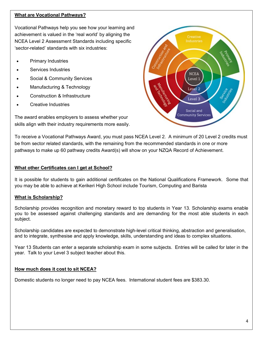#### **What are Vocational Pathways?**

Vocational Pathways help you see how your learning and achievement is valued in the 'real world' by aligning the NCEA Level 2 Assessment Standards including specific 'sector-related' standards with six industries:

- Primary Industries
- Services Industries
- Social & Community Services
- Manufacturing & Technology
- Construction & Infrastructure
- Creative Industries

The award enables employers to assess whether your skills align with their industry requirements more easily.



To receive a Vocational Pathways Award, you must pass NCEA Level 2. A minimum of 20 Level 2 credits must be from sector related standards, with the remaining from the recommended standards in one or more pathways to make up 60 pathway credits Award(s) will show on your NZQA Record of Achievement.

#### **What other Certificates can I get at School?**

It is possible for students to gain additional certificates on the National Qualifications Framework. Some that you may be able to achieve at Kerikeri High School include Tourism, Computing and Barista

#### **What is Scholarship?**

Scholarship provides recognition and monetary reward to top students in Year 13. Scholarship exams enable you to be assessed against challenging standards and are demanding for the most able students in each subject.

Scholarship candidates are expected to demonstrate high-level critical thinking, abstraction and generalisation, and to integrate, synthesise and apply knowledge, skills, understanding and ideas to complex situations.

Year 13 Students can enter a separate scholarship exam in some subjects. Entries will be called for later in the year. Talk to your Level 3 subject teacher about this.

#### **How much does it cost to sit NCEA?**

Domestic students no longer need to pay NCEA fees. International student fees are \$383.30.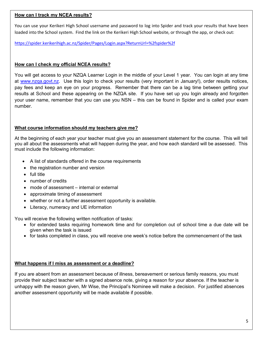#### **How can I track my NCEA results?**

You can use your Kerikeri High School username and password to log into Spider and track your results that have been loaded into the School system. Find the link on the Kerikeri High School website, or through the app, or check out:

<https://spider.kerikerihigh.ac.nz/Spider/Pages/Login.aspx?ReturnUrl=%2fspider%2f>

#### **How can I check my official NCEA results?**

You will get access to your NZQA Learner Login in the middle of your Level 1 year. You can login at any time at [www.nzqa.govt.nz.](http://www.nzqa.govt.nz/) Use this login to check your results (very important in January!), order results notices, pay fees and keep an eye on your progress. Remember that there can be a lag time between getting your results at School and these appearing on the NZQA site. If you have set up you login already and forgotten your user name, remember that you can use you NSN – this can be found in Spider and is called your exam number.

#### **What course information should my teachers give me?**

At the beginning of each year your teacher must give you an assessment statement for the course. This will tell you all about the assessments what will happen during the year, and how each standard will be assessed. This must include the following information:

- A list of standards offered in the course requirements
- the registration number and version
- full title
- number of credits
- mode of assessment internal or external
- approximate timing of assessment
- whether or not a further assessment opportunity is available.
- Literacy, numeracy and UE information

You will receive the following written notification of tasks:

- for extended tasks requiring homework time and for completion out of school time a due date will be given when the task is issued
- for tasks completed in class, you will receive one week's notice before the commencement of the task

#### **What happens if I miss as assessment or a deadline?**

If you are absent from an assessment because of illness, bereavement or serious family reasons, you must provide their subject teacher with a signed absence note, giving a reason for your absence. If the teacher is unhappy with the reason given, Mr Wise, the Principal's Nominee will make a decision. For justified absences another assessment opportunity will be made available if possible.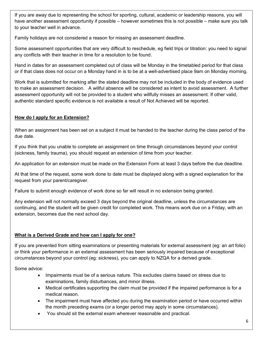If you are away due to representing the school for sporting, cultural, academic or leadership reasons, you will have another assessment opportunity if possible – however sometimes this is not possible – make sure you talk to your teacher well in advance.

Family holidays are not considered a reason for missing an assessment deadline.

Some assessment opportunities that are very difficult to reschedule, eg field trips or titration: you need to signal any conflicts with their teacher in time for a resolution to be found.

Hand in dates for an assessment completed out of class will be Monday in the timetabled period for that class or if that class does not occur on a Monday hand in is to be at a well-advertised place 9am on Monday morning.

Work that is submitted for marking after the stated deadline may not be included in the body of evidence used to make an assessment decision. A willful absence will be considered as intent to avoid assessment. A further assessment opportunity will not be provided to a student who willfully misses an assessment. If other valid, authentic standard specific evidence is not available a result of Not Achieved will be reported.

#### **How do I apply for an Extension?**

When an assignment has been set on a subject it must be handed to the teacher during the class period of the due date.

If you think that you unable to complete an assignment on time through circumstances beyond your control (sickness, family trauma), you should request an extension of time from your teacher.

An application for an extension must be made on the Extension Form at least 3 days before the due deadline.

At that time of the request, some work done to date must be displayed along with a signed explanation for the request from your parent/caregiver.

Failure to submit enough evidence of work done so far will result in no extension being granted.

Any extension will not normally exceed 3 days beyond the original deadline, unless the circumstances are continuing, and the student will be given credit for completed work. This means work due on a Friday, with an extension, becomes due the next school day.

#### **What is a Derived Grade and how can I apply for one?**

If you are prevented from sitting examinations or presenting materials for external assessment (eg: an art folio) or think your performance in an external assessment has been seriously impaired because of exceptional circumstances beyond your control (eg: sickness), you can apply to NZQA for a derived grade.

Some advice:

- Impairments must be of a serious nature. This excludes claims based on stress due to examinations, family disturbances, and minor illness.
- Medical certificates supporting the claim must be provided if the impaired performance is for a medical reason.
- The impairment must have affected you during the examination period or have occurred within the month preceding exams (or a longer period may apply in some circumstances).
- You should sit the external exam wherever reasonable and practical.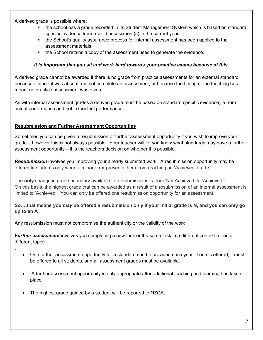A derived grade is possible where:

.

- the school has a grade recorded in its Student Management System which is based on standard specific evidence from a valid assessment(s) in the current year
- the School's quality assurance process for internal assessment has been applied to the assessment materials.
- the School retains a copy of the assessment used to generate the evidence.

#### *It is important that you sit and work hard towards your practice exams because of this.*

A derived grade cannot be awarded if there is no grade from practice assessments for an external standard because a student was absent, did not complete an assessment, or because the timing of the teaching has meant no practice assessment was given.

As with internal assessment grades a derived grade must be based on standard specific evidence; ie from actual performance and not 'expected' performance.

#### **Resubmission and Further Assessment Opportunities**

Sometimes you can be given a resubmission or further assessment opportunity if you wish to improve your grade – however this is not always possible. Your teacher will let you know what standards may have a further assessment opportunity – it is the teachers decision on whether it is possible.

*Resubmission* involves you improving your already submitted work. A resubmission opportunity may be offered to students only when a minor error prevents them from reaching an 'Achieved' grade.

The **only** change in grade boundary available for resubmissions is from 'Not Achieved' to 'Achieved.' On this basis, the highest grade that can be awarded as a result of a resubmission of an internal assessment is limited to 'Achieved'. You can only be offered one resubmission opportunity for an assessment.

#### **So….that means you** *may* **be offered a resubmission only if your initial grade is N, and you can only go up to an A**

Any resubmission must not compromise the authenticity or the validity of the work

*Further assessment* involves you completing a new task or the same task in a different context (or on a different topic)

- One further assessment opportunity for a standard can be provided each year. If one is offered, it must be offered to all students, and all assessment grades must be available.
- A further assessment opportunity is only appropriate after additional teaching and learning has taken place.
- The highest grade gained by a student will be reported to NZQA.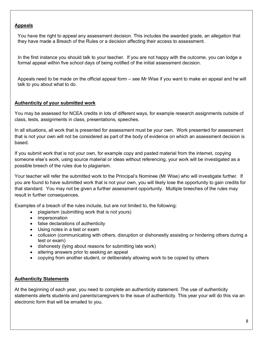#### **Appeals**

You have the right to appeal any assessment decision. This includes the awarded grade, an allegation that they have made a Breach of the Rules or a decision affecting their access to assessment.

In the first instance you should talk to your teacher. If you are not happy with the outcome, you can lodge a formal appeal within five school days of being notified of the initial assessment decision.

Appeals need to be made on the official appeal form – see Mr Wise if you want to make an appeal and he will talk to you about what to do.

#### **Authenticity of your submitted work**

You may be assessed for NCEA credits in lots of different ways, for example research assignments outside of class, tests, assignments in class, presentations, speeches.

In all situations, all work that is presented for assessment must be your own. Work presented for assessment that is not your own will not be considered as part of the body of evidence on which an assessment decision is based.

If you submit work that is not your own, for example copy and pasted material from the internet, copying someone else's work, using source material or ideas without referencing, your work will be investigated as a possible breech of the rules due to plagiarism.

Your teacher will refer the submitted work to the Principal's Nominee (Mr Wise) who will investigate further. If you are found to have submitted work that is not your own, you will likely lose the opportunity to gain credits for that standard. You may not be given a further assessment opportunity. Multiple breeches of the rules may result in further consequences.

Examples of a breach of the rules include, but are not limited to, the following:

- plagiarism (submitting work that is not yours)
- impersonation
- false declarations of authenticity
- Using notes in a test or exam
- collusion (communicating with others, disruption or dishonestly assisting or hindering others during a test or exam)
- dishonesty (lying about reasons for submitting late work)
- altering answers prior to seeking an appeal
- copying from another student, or deliberately allowing work to be copied by others

#### **Authenticity Statements**

At the beginning of each year, you need to complete an authenticity statement. The use of authenticity statements alerts students and parents/caregivers to the issue of authenticity. This year your will do this via an electronic form that will be emailed to you.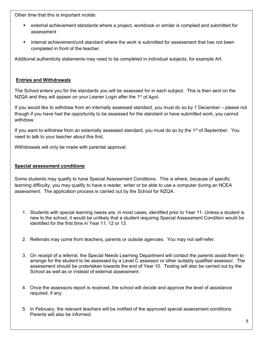Other time that this is important inclide:

- external achievement standards where a project, workbook or similar is complied and submitted for assessment
- internal achievement/unit standard where the work is submitted for assessment that has not been completed in front of the teacher.

Additional authenticity statements may need to be completed in individual subjects, for example Art.

#### **Entries and Withdrawals**

The School enters you for the standards you will be assessed for in each subject. This is then sent on the NZQA and they will appear on your Leaner Login after the 1<sup>st</sup> of April.

If you would like to withdraw from an internally assessed standard, you must do so by 1 December – please not though if you have had the opportunity to be assessed for the standard or have submitted work, you cannot withdraw.

If you want to withdraw from an externally assessed standard, you must do so by the 1<sup>st</sup> of September. You need to talk to your teacher about this first.

Withdrawals will only be made with parental approval.

#### **Special assessment conditions**

Some students may qualify to have Special Assessment Conditions. This is where, because of specific learning difficulty, you may qualify to have a reader, writer or be able to use a computer during an NCEA assessment. The application process is carried out by the School for NZQA.

- 1. Students with special learning needs are, in most cases, identified prior to Year 11. Unless a student is new to the school, it would be unlikely that a student requiring Special Assessment Condition would be identified for the first time in Year 11, 12 or 13.
- 2. Referrals may come from teachers, parents or outside agencies. You may not self-refer.
- 3. On receipt of a referral, the Special Needs Learning Department will contact the parents assist them to arrange for the student to be assessed by a Level C assessor or other suitably qualified assessor. The assessment should be undertaken towards the end of Year 10. Testing will also be carried out by the School as well as or instead of external assessment.
- 4. Once the assessors report is received, the school will decide and approve the level of assistance required, if any.
- 5. In February, the relevant teachers will be notified of the approved special assessment conditions. Parents will also be informed.